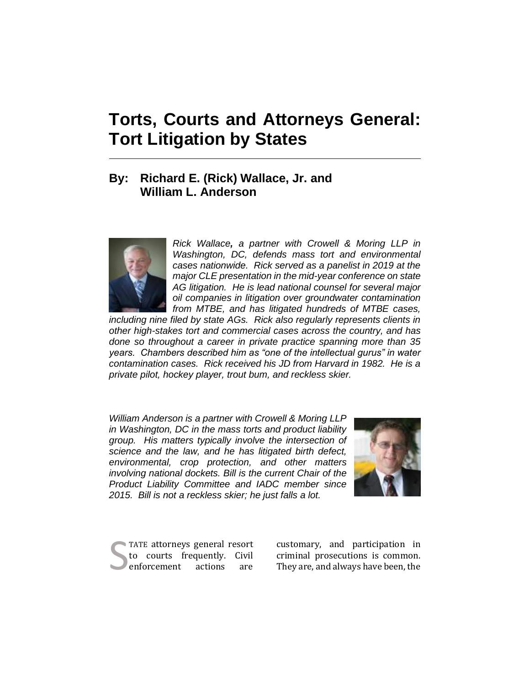# **Torts, Courts and Attorneys General: Tort Litigation by States**

# **By: Richard E. (Rick) Wallace, Jr. and William L. Anderson**



*Rick Wallace, a partner with Crowell & Moring LLP in Washington, DC, defends mass tort and environmental cases nationwide. Rick served as a panelist in 2019 at the major CLE presentation in the mid-year conference on state AG litigation. He is lead national counsel for several major oil companies in litigation over groundwater contamination from MTBE, and has litigated hundreds of MTBE cases,* 

*including nine filed by state AGs. Rick also regularly represents clients in other high-stakes tort and commercial cases across the country, and has done so throughout a career in private practice spanning more than 35 years. Chambers described him as "one of the intellectual gurus" in water contamination cases. Rick received his JD from Harvard in 1982. He is a private pilot, hockey player, trout bum, and reckless skier.* 

*William Anderson is a partner with Crowell & Moring LLP in Washington, DC in the mass torts and product liability group. His matters typically involve the intersection of science and the law, and he has litigated birth defect, environmental, crop protection, and other matters involving national dockets. Bill is the current Chair of the Product Liability Committee and IADC member since 2015. Bill is not a reckless skier; he just falls a lot.*



TATE attorneys general resort to courts frequently. Civil enforcement actions are

customary, and participation in TATE attorneys general resort customary, and participation in to courts frequently. Civil criminal prosecutions is common.<br>
enforcement actions are They are, and always have been, the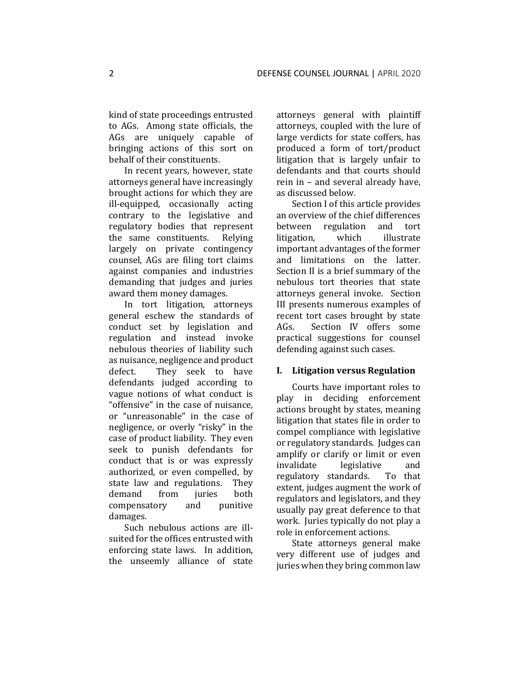kind of state proceedings entrusted to AGs. Among state officials, the AGs are uniquely capable of bringing actions of this sort on behalf of their constituents.

In recent years, however, state attorneys general have increasingly brought actions for which they are ill-equipped, occasionally acting contrary to the legislative and regulatory bodies that represent the same constituents. Relying largely on private contingency counsel, AGs are filing tort claims against companies and industries demanding that judges and juries award them money damages.

In tort litigation, attorneys general eschew the standards of conduct set by legislation and regulation and instead invoke nebulous theories of liability such as nuisance, negligence and product defect. They seek to have defendants judged according to vague notions of what conduct is "offensive" in the case of nuisance, or "unreasonable" in the case of negligence, or overly "risky" in the case of product liability. They even seek to punish defendants for conduct that is or was expressly authorized, or even compelled, by state law and regulations. They demand from juries both compensatory and punitive damages.

Such nebulous actions are illsuited for the offices entrusted with enforcing state laws. In addition, the unseemly alliance of state attorneys general with plaintiff attorneys, coupled with the lure of large verdicts for state coffers, has produced a form of tort/product litigation that is largely unfair to defendants and that courts should rein in – and several already have, as discussed below.

Section I of this article provides an overview of the chief differences between regulation and tort litigation, which illustrate important advantages of the former and limitations on the latter. Section II is a brief summary of the nebulous tort theories that state attorneys general invoke. Section III presents numerous examples of recent tort cases brought by state AGs. Section IV offers some practical suggestions for counsel defending against such cases.

#### **I. Litigation versus Regulation**

Courts have important roles to play in deciding enforcement actions brought by states, meaning litigation that states file in order to compel compliance with legislative or regulatory standards. Judges can amplify or clarify or limit or even invalidate legislative and regulatory standards. To that extent, judges augment the work of regulators and legislators, and they usually pay great deference to that work. Juries typically do not play a role in enforcement actions.

State attorneys general make very different use of judges and juries when they bring common law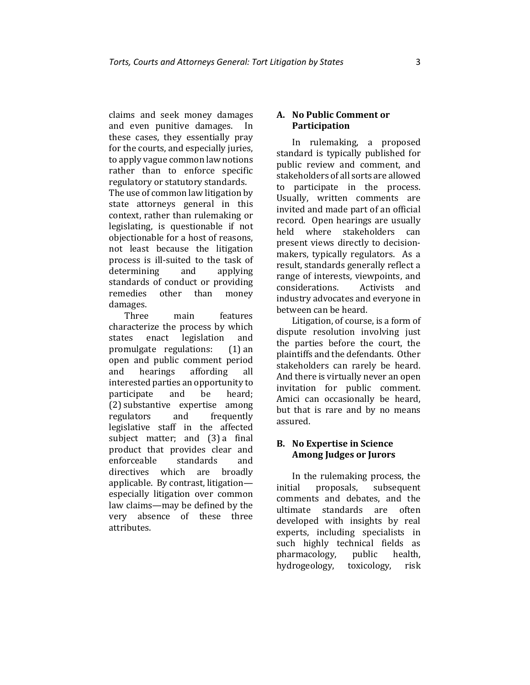claims and seek money damages and even punitive damages. In these cases, they essentially pray for the courts, and especially juries, to apply vague common law notions rather than to enforce specific regulatory or statutory standards. The use of common law litigation by state attorneys general in this context, rather than rulemaking or legislating, is questionable if not objectionable for a host of reasons, not least because the litigation process is ill-suited to the task of determining and applying standards of conduct or providing remedies other than money damages.

Three main features characterize the process by which states enact legislation and promulgate regulations: (1) an open and public comment period and hearings affording all interested parties an opportunity to participate and be heard; (2) substantive expertise among regulators and frequently legislative staff in the affected subject matter; and (3) a final product that provides clear and enforceable standards and directives which are broadly applicable. By contrast, litigation especially litigation over common law claims—may be defined by the very absence of these three attributes.

# **A. No Public Comment or Participation**

In rulemaking, a proposed standard is typically published for public review and comment, and stakeholders of all sorts are allowed to participate in the process. Usually, written comments are invited and made part of an official record. Open hearings are usually held where stakeholders can present views directly to decisionmakers, typically regulators. As a result, standards generally reflect a range of interests, viewpoints, and considerations. Activists and industry advocates and everyone in between can be heard.

Litigation, of course, is a form of dispute resolution involving just the parties before the court, the plaintiffs and the defendants. Other stakeholders can rarely be heard. And there is virtually never an open invitation for public comment. Amici can occasionally be heard, but that is rare and by no means assured.

## **B. No Expertise in Science Among Judges or Jurors**

In the rulemaking process, the initial proposals, subsequent comments and debates, and the ultimate standards are often developed with insights by real experts, including specialists in such highly technical fields as pharmacology, public health, hydrogeology, toxicology, risk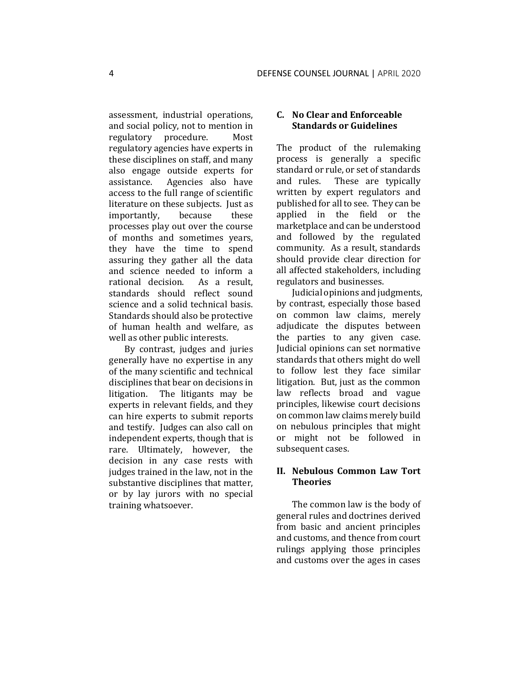assessment, industrial operations, and social policy, not to mention in regulatory procedure. Most regulatory agencies have experts in these disciplines on staff, and many also engage outside experts for assistance. Agencies also have access to the full range of scientific literature on these subjects. Just as importantly, because these processes play out over the course of months and sometimes years, they have the time to spend assuring they gather all the data and science needed to inform a rational decision. As a result, standards should reflect sound science and a solid technical basis. Standards should also be protective of human health and welfare, as well as other public interests.

By contrast, judges and juries generally have no expertise in any of the many scientific and technical disciplines that bear on decisions in litigation. The litigants may be experts in relevant fields, and they can hire experts to submit reports and testify. Judges can also call on independent experts, though that is rare. Ultimately, however, the decision in any case rests with judges trained in the law, not in the substantive disciplines that matter, or by lay jurors with no special training whatsoever.

# **C. No Clear and Enforceable Standards or Guidelines**

The product of the rulemaking process is generally a specific standard or rule, or set of standards and rules. These are typically written by expert regulators and published for all to see. They can be applied in the field or the marketplace and can be understood and followed by the regulated community. As a result, standards should provide clear direction for all affected stakeholders, including regulators and businesses.

Judicial opinions and judgments, by contrast, especially those based on common law claims, merely adjudicate the disputes between the parties to any given case. Judicial opinions can set normative standards that others might do well to follow lest they face similar litigation. But, just as the common law reflects broad and vague principles, likewise court decisions on common law claims merely build on nebulous principles that might or might not be followed in subsequent cases.

# **II. Nebulous Common Law Tort Theories**

The common law is the body of general rules and doctrines derived from basic and ancient principles and customs, and thence from court rulings applying those principles and customs over the ages in cases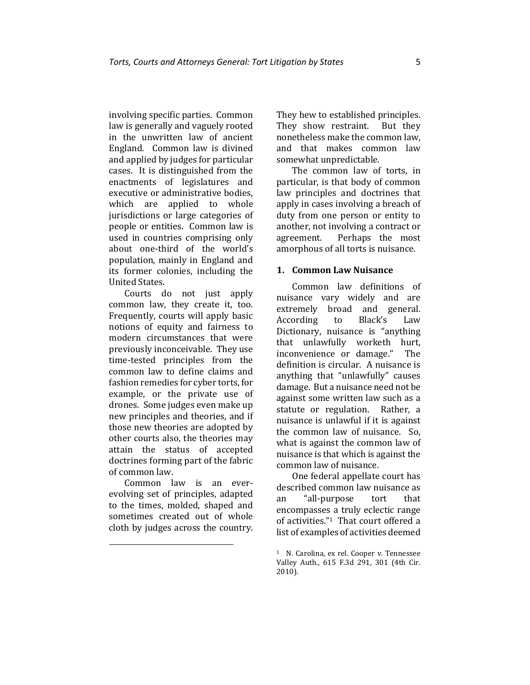involving specific parties. Common law is generally and vaguely rooted in the unwritten law of ancient England. Common law is divined and applied by judges for particular cases. It is distinguished from the enactments of legislatures and executive or administrative bodies, which are applied to whole jurisdictions or large categories of people or entities. Common law is used in countries comprising only about one-third of the world's population, mainly in England and its former colonies, including the United States.

Courts do not just apply common law, they create it, too. Frequently, courts will apply basic notions of equity and fairness to modern circumstances that were previously inconceivable. They use time-tested principles from the common law to define claims and fashion remedies for cyber torts, for example, or the private use of drones. Some judges even make up new principles and theories, and if those new theories are adopted by other courts also, the theories may attain the status of accepted doctrines forming part of the fabric of common law.

Common law is an everevolving set of principles, adapted to the times, molded, shaped and sometimes created out of whole cloth by judges across the country. They hew to established principles. They show restraint. But they nonetheless make the common law, and that makes common law somewhat unpredictable.

The common law of torts, in particular, is that body of common law principles and doctrines that apply in cases involving a breach of duty from one person or entity to another, not involving a contract or agreement. Perhaps the most amorphous of all torts is nuisance.

#### **1. Common Law Nuisance**

Common law definitions of nuisance vary widely and are extremely broad and general. According to Black's Law Dictionary, nuisance is "anything that unlawfully worketh hurt, inconvenience or damage." The definition is circular. A nuisance is anything that "unlawfully" causes damage. But a nuisance need not be against some written law such as a statute or regulation. Rather, a nuisance is unlawful if it is against the common law of nuisance. So, what is against the common law of nuisance is that which is against the common law of nuisance.

One federal appellate court has described common law nuisance as an "all-purpose tort that encompasses a truly eclectic range of activities."1 That court offered a list of examples of activities deemed

<sup>1</sup> N. Carolina, ex rel. Cooper v. Tennessee Valley Auth., 615 F.3d 291, 301 (4th Cir. 2010).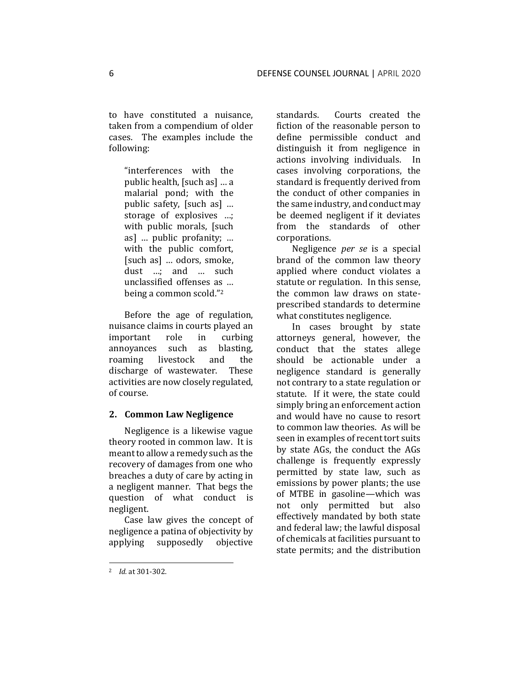to have constituted a nuisance, taken from a compendium of older cases. The examples include the following:

"interferences with the public health, [such as] … a malarial pond; with the public safety, [such as] … storage of explosives …; with public morals, [such as] … public profanity; … with the public comfort, [such as] … odors, smoke, dust …; and … such unclassified offenses as … being a common scold."<sup>2</sup>

Before the age of regulation, nuisance claims in courts played an important role in curbing annoyances such as blasting, roaming livestock and the discharge of wastewater. These activities are now closely regulated, of course.

#### **2. Common Law Negligence**

Negligence is a likewise vague theory rooted in common law. It is meant to allow a remedy such as the recovery of damages from one who breaches a duty of care by acting in a negligent manner. That begs the question of what conduct is negligent.

Case law gives the concept of negligence a patina of objectivity by applying supposedly objective

standards. Courts created the fiction of the reasonable person to define permissible conduct and distinguish it from negligence in actions involving individuals. In cases involving corporations, the standard is frequently derived from the conduct of other companies in the same industry, and conduct may be deemed negligent if it deviates from the standards of other corporations.

Negligence *per se* is a special brand of the common law theory applied where conduct violates a statute or regulation. In this sense, the common law draws on stateprescribed standards to determine what constitutes negligence.

In cases brought by state attorneys general, however, the conduct that the states allege should be actionable under a negligence standard is generally not contrary to a state regulation or statute. If it were, the state could simply bring an enforcement action and would have no cause to resort to common law theories. As will be seen in examples of recent tort suits by state AGs, the conduct the AGs challenge is frequently expressly permitted by state law, such as emissions by power plants; the use of MTBE in gasoline—which was not only permitted but also effectively mandated by both state and federal law; the lawful disposal of chemicals at facilities pursuant to state permits; and the distribution

<sup>2</sup> *Id.* at 301-302.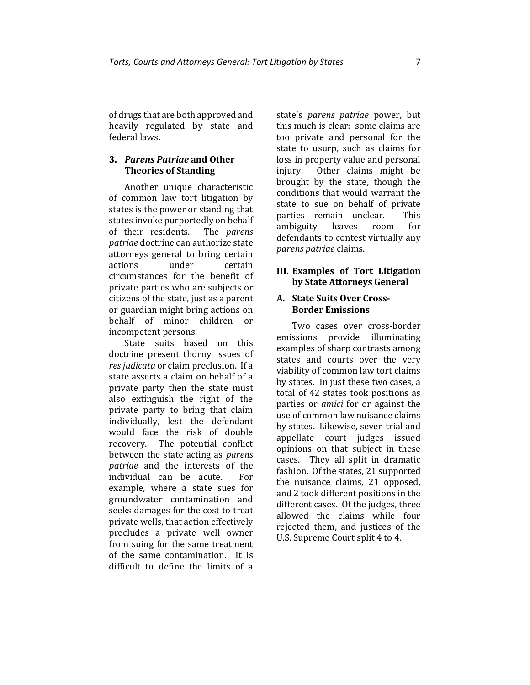of drugs that are both approved and heavily regulated by state and federal laws.

#### **3.** *Parens Patriae* **and Other Theories of Standing**

Another unique characteristic of common law tort litigation by states is the power or standing that states invoke purportedly on behalf of their residents. The *parens patriae* doctrine can authorize state attorneys general to bring certain actions under certain circumstances for the benefit of private parties who are subjects or citizens of the state, just as a parent or guardian might bring actions on behalf of minor children or incompetent persons.

State suits based on this doctrine present thorny issues of *res judicata* or claim preclusion. If a state asserts a claim on behalf of a private party then the state must also extinguish the right of the private party to bring that claim individually, lest the defendant would face the risk of double recovery. The potential conflict between the state acting as *parens patriae* and the interests of the individual can be acute. For example, where a state sues for groundwater contamination and seeks damages for the cost to treat private wells, that action effectively precludes a private well owner from suing for the same treatment of the same contamination. It is difficult to define the limits of a

state's *parens patriae* power, but this much is clear: some claims are too private and personal for the state to usurp, such as claims for loss in property value and personal injury. Other claims might be brought by the state, though the conditions that would warrant the state to sue on behalf of private parties remain unclear. This ambiguity leaves room for defendants to contest virtually any *parens patriae* claims.

## **III. Examples of Tort Litigation by State Attorneys General**

#### **A. State Suits Over Cross-Border Emissions**

Two cases over cross-border emissions provide illuminating examples of sharp contrasts among states and courts over the very viability of common law tort claims by states. In just these two cases, a total of 42 states took positions as parties or *amici* for or against the use of common law nuisance claims by states. Likewise, seven trial and appellate court judges issued opinions on that subject in these cases. They all split in dramatic fashion. Of the states, 21 supported the nuisance claims, 21 opposed, and 2 took different positions in the different cases. Of the judges, three allowed the claims while four rejected them, and justices of the U.S. Supreme Court split 4 to 4.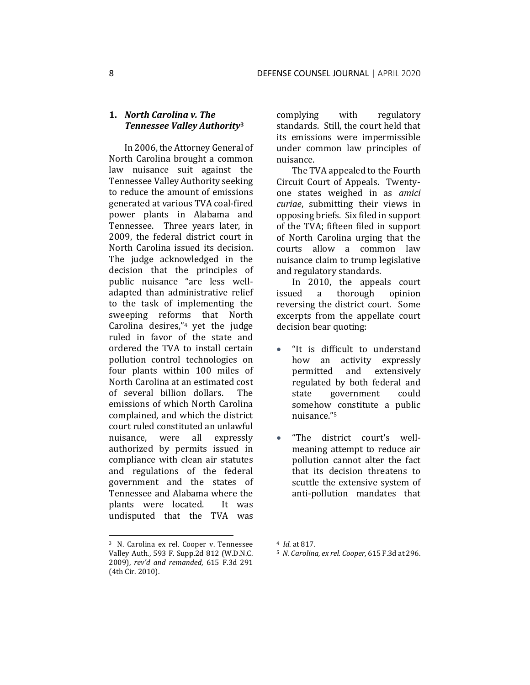# **1.** *North Carolina v. The Tennessee Valley Authority***<sup>3</sup>**

In 2006, the Attorney General of North Carolina brought a common law nuisance suit against the Tennessee Valley Authority seeking to reduce the amount of emissions generated at various TVA coal-fired power plants in Alabama and Tennessee. Three years later, in 2009, the federal district court in North Carolina issued its decision. The judge acknowledged in the decision that the principles of public nuisance "are less welladapted than administrative relief to the task of implementing the sweeping reforms that North Carolina desires,"<sup>4</sup> yet the judge ruled in favor of the state and ordered the TVA to install certain pollution control technologies on four plants within 100 miles of North Carolina at an estimated cost of several billion dollars. The emissions of which North Carolina complained, and which the district court ruled constituted an unlawful nuisance, were all expressly authorized by permits issued in compliance with clean air statutes and regulations of the federal government and the states of Tennessee and Alabama where the plants were located. It was undisputed that the TVA was

complying with regulatory standards. Still, the court held that its emissions were impermissible under common law principles of nuisance.

The TVA appealed to the Fourth Circuit Court of Appeals. Twentyone states weighed in as *amici curiae*, submitting their views in opposing briefs. Six filed in support of the TVA; fifteen filed in support of North Carolina urging that the courts allow a common law nuisance claim to trump legislative and regulatory standards.

In 2010, the appeals court issued a thorough opinion reversing the district court. Some excerpts from the appellate court decision bear quoting:

- "It is difficult to understand how an activity expressly permitted and extensively regulated by both federal and state government could somehow constitute a public nuisance." 5
- "The district court's wellmeaning attempt to reduce air pollution cannot alter the fact that its decision threatens to scuttle the extensive system of anti-pollution mandates that

<sup>3</sup> N. Carolina ex rel. Cooper v. Tennessee Valley Auth*.*, 593 F. Supp.2d 812 (W.D.N.C. 2009), *rev'd and remanded*, 615 F.3d 291 (4th Cir. 2010).

<sup>4</sup> *Id*. at 817.

<sup>5</sup> *N. Carolina, ex rel. Cooper*, 615 F.3d at 296.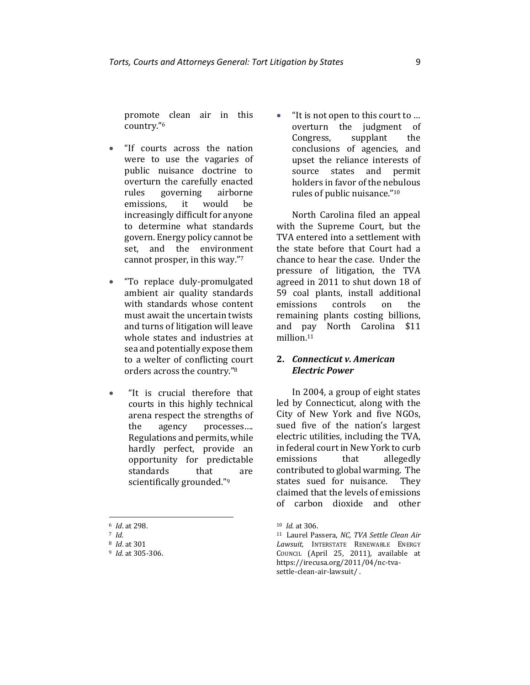promote clean air in this country." 6

- "If courts across the nation were to use the vagaries of public nuisance doctrine to overturn the carefully enacted rules governing airborne emissions, it would be increasingly difficult for anyone to determine what standards govern. Energy policy cannot be set, and the environment cannot prosper, in this way." 7
- "To replace duly-promulgated ambient air quality standards with standards whose content must await the uncertain twists and turns of litigation will leave whole states and industries at sea and potentially expose them to a welter of conflicting court orders across the country."<sup>8</sup>
- "It is crucial therefore that courts in this highly technical arena respect the strengths of the agency processes…. Regulations and permits, while hardly perfect, provide an opportunity for predictable standards that are scientifically grounded."<sup>9</sup>

• "It is not open to this court to … overturn the judgment of Congress, supplant the conclusions of agencies, and upset the reliance interests of source states and permit holders in favor of the nebulous rules of public nuisance." 10

North Carolina filed an appeal with the Supreme Court, but the TVA entered into a settlement with the state before that Court had a chance to hear the case. Under the pressure of litigation, the TVA agreed in 2011 to shut down 18 of 59 coal plants, install additional emissions controls on the remaining plants costing billions, and pay North Carolina \$11 million.<sup>11</sup>

#### **2.** *Connecticut v. American Electric Power*

In 2004, a group of eight states led by Connecticut, along with the City of New York and five NGOs, sued five of the nation's largest electric utilities, including the TVA, in federal court in New York to curb emissions that allegedly contributed to global warming. The states sued for nuisance. They claimed that the levels of emissions of carbon dioxide and other

<sup>6</sup> *Id*. at 298.

<sup>7</sup> *Id.*

<sup>8</sup> *Id*. at 301

<sup>9</sup> *Id.* at 305-306.

<sup>10</sup> *Id.* at 306.

<sup>11</sup> Laurel Passera, *NC, TVA Settle Clean Air Lawsuit,* INTERSTATE RENEWABLE ENERGY COUNCIL (April 25, 2011), available at [https://irecusa.org/2011/04/nc-tva](https://irecusa.org/2011/04/nc-tva-settle-clean-air-lawsuit/)[settle-clean-air-lawsuit/](https://irecusa.org/2011/04/nc-tva-settle-clean-air-lawsuit/) .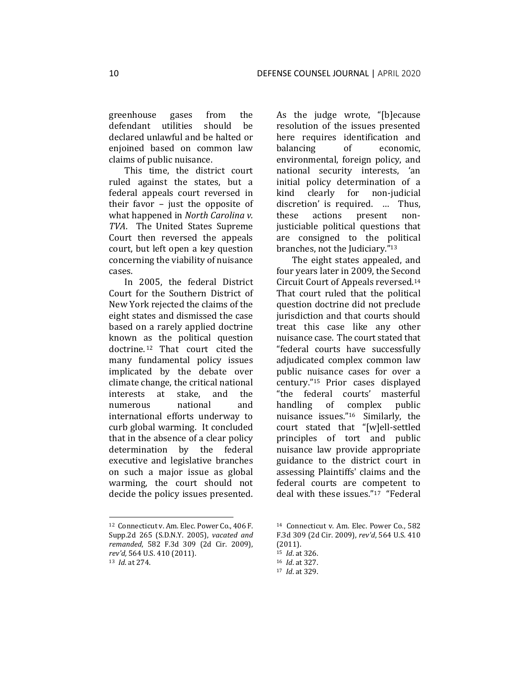greenhouse gases from the defendant utilities should be declared unlawful and be halted or enjoined based on common law claims of public nuisance.

This time, the district court ruled against the states, but a federal appeals court reversed in their favor – just the opposite of what happened in *North Carolina v. TVA*. The United States Supreme Court then reversed the appeals court, but left open a key question concerning the viability of nuisance cases.

In 2005, the federal District Court for the Southern District of New York rejected the claims of the eight states and dismissed the case based on a rarely applied doctrine known as the political question doctrine. <sup>12</sup> That court cited the many fundamental policy issues implicated by the debate over climate change, the critical national interests at stake, and the numerous national and international efforts underway to curb global warming. It concluded that in the absence of a clear policy determination by the federal executive and legislative branches on such a major issue as global warming, the court should not decide the policy issues presented. As the judge wrote, "[b]ecause resolution of the issues presented here requires identification and balancing of economic, environmental, foreign policy, and national security interests, 'an initial policy determination of a kind clearly for non-judicial discretion' is required. … Thus, these actions present nonjusticiable political questions that are consigned to the political branches, not the Judiciary."<sup>13</sup>

The eight states appealed, and four years later in 2009, the Second Circuit Court of Appeals reversed.<sup>14</sup> That court ruled that the political question doctrine did not preclude jurisdiction and that courts should treat this case like any other nuisance case. The court stated that "federal courts have successfully adjudicated complex common law public nuisance cases for over a century."15 Prior cases displayed "the federal courts' masterful handling of complex public nuisance issues."16 Similarly, the court stated that "[w]ell-settled principles of tort and public nuisance law provide appropriate guidance to the district court in assessing Plaintiffs' claims and the federal courts are competent to deal with these issues."<sup>17</sup> "Federal

<sup>12</sup> Connecticut v. Am. Elec. Power Co*.*, 406 F. Supp.2d 265 (S.D.N.Y. 2005), *vacated and remanded*, 582 F.3d 309 (2d Cir. 2009), *rev'd,* 564 U.S. 410 (2011). <sup>13</sup> *Id*. at 274.

<sup>14</sup> Connecticut v. Am. Elec. Power Co*.*, 582 F.3d 309 (2d Cir. 2009), *rev'd*, 564 U.S. 410 (2011).

<sup>15</sup> *Id*. at 326.

<sup>16</sup> *Id*. at 327.

<sup>17</sup> *Id*. at 329.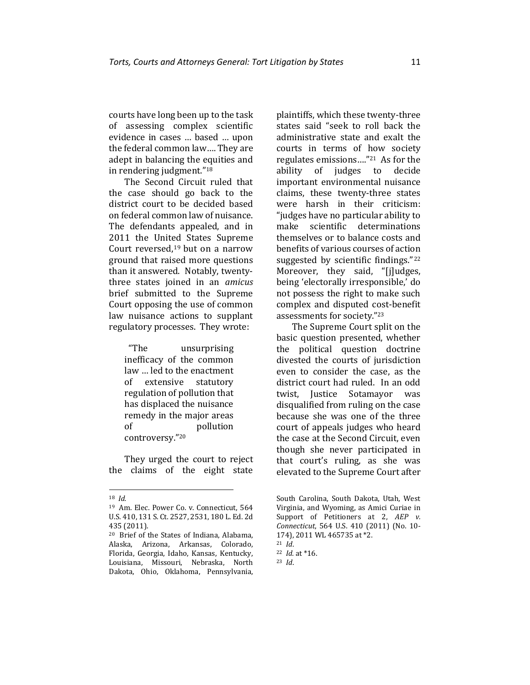courts have long been up to the task of assessing complex scientific evidence in cases … based … upon the federal common law…. They are adept in balancing the equities and in rendering judgment."<sup>18</sup>

The Second Circuit ruled that the case should go back to the district court to be decided based on federal common law of nuisance. The defendants appealed, and in 2011 the United States Supreme Court reversed,<sup>19</sup> but on a narrow ground that raised more questions than it answered. Notably, twentythree states joined in an *amicus* brief submitted to the Supreme Court opposing the use of common law nuisance actions to supplant regulatory processes. They wrote:

> "The unsurprising inefficacy of the common law … led to the enactment of extensive statutory regulation of pollution that has displaced the nuisance remedy in the major areas of pollution controversy."<sup>20</sup>

They urged the court to reject the claims of the eight state

plaintiffs, which these twenty-three states said "seek to roll back the administrative state and exalt the courts in terms of how society regulates emissions…."21 As for the ability of judges to decide important environmental nuisance claims, these twenty-three states were harsh in their criticism: "judges have no particular ability to make scientific determinations themselves or to balance costs and benefits of various courses of action suggested by scientific findings."<sup>22</sup> Moreover, they said, "[j]udges, being 'electorally irresponsible,' do not possess the right to make such complex and disputed cost-benefit assessments for society."<sup>23</sup>

The Supreme Court split on the basic question presented, whether the political question doctrine divested the courts of jurisdiction even to consider the case, as the district court had ruled. In an odd twist, Justice Sotamayor was disqualified from ruling on the case because she was one of the three court of appeals judges who heard the case at the Second Circuit, even though she never participated in that court's ruling, as she was elevated to the Supreme Court after

<sup>18</sup> *Id.*

<sup>19</sup> Am. Elec. Power Co. v. Connecticut, 564 U.S. 410, 131 S. Ct. 2527, 2531, 180 L. Ed. 2d 435 (2011).

<sup>20</sup> Brief of the States of Indiana, Alabama, Alaska, Arizona, Arkansas, Colorado, Florida, Georgia, Idaho, Kansas, Kentucky, Louisiana, Missouri, Nebraska, North Dakota, Ohio, Oklahoma, Pennsylvania,

South Carolina, South Dakota, Utah, West Virginia, and Wyoming, as Amici Curiae in Support of Petitioners at 2, AEP v. *Connecticut*, 564 U.S. 410 (2011) (No. 10- 174), 2011 WL 465735 at \*2.

<sup>21</sup> *Id*.

<sup>22</sup> *Id.* at \*16.

<sup>23</sup> *Id*.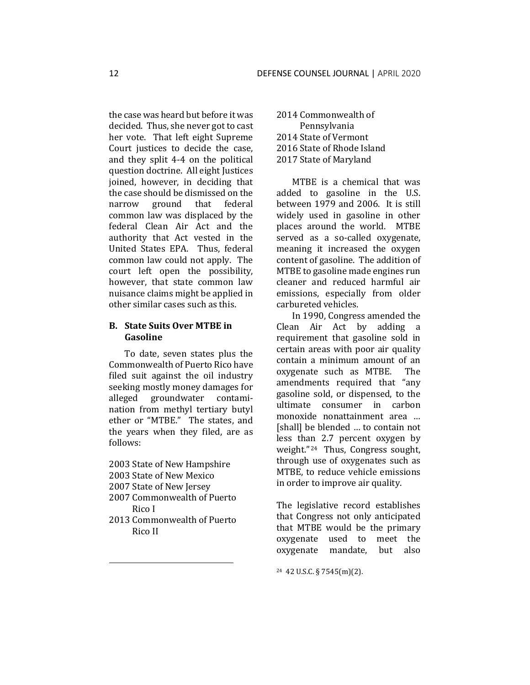the case was heard but before it was decided. Thus, she never got to cast her vote. That left eight Supreme Court justices to decide the case, and they split 4-4 on the political question doctrine. All eight Justices joined, however, in deciding that the case should be dismissed on the narrow ground that federal common law was displaced by the federal Clean Air Act and the authority that Act vested in the United States EPA. Thus, federal common law could not apply. The court left open the possibility, however, that state common law nuisance claims might be applied in other similar cases such as this.

# **B. State Suits Over MTBE in Gasoline**

To date, seven states plus the Commonwealth of Puerto Rico have filed suit against the oil industry seeking mostly money damages for alleged groundwater contamination from methyl tertiary butyl ether or "MTBE." The states, and the years when they filed, are as follows:

- 2003 State of New Hampshire
- 2003 State of New Mexico
- 2007 State of New Jersey
- 2007 Commonwealth of Puerto Rico I
- 2013 Commonwealth of Puerto Rico II

 Commonwealth of Pennsylvania State of Vermont State of Rhode Island State of Maryland

MTBE is a chemical that was added to gasoline in the U.S. between 1979 and 2006. It is still widely used in gasoline in other places around the world. MTBE served as a so-called oxygenate, meaning it increased the oxygen content of gasoline. The addition of MTBE to gasoline made engines run cleaner and reduced harmful air emissions, especially from older carbureted vehicles.

In 1990, Congress amended the Clean Air Act by adding a requirement that gasoline sold in certain areas with poor air quality contain a minimum amount of an oxygenate such as MTBE. The amendments required that "any gasoline sold, or dispensed, to the ultimate consumer in carbon monoxide nonattainment area … [shall] be blended ... to contain not less than 2.7 percent oxygen by weight."24 Thus, Congress sought, through use of oxygenates such as MTBE, to reduce vehicle emissions in order to improve air quality.

The legislative record establishes that Congress not only anticipated that MTBE would be the primary oxygenate used to meet the oxygenate mandate, but also

<sup>24</sup> 42 U.S.C. § 7545(m)(2).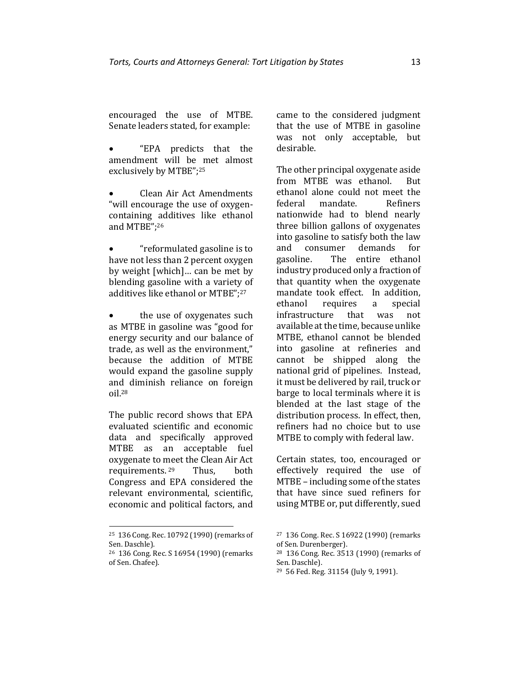encouraged the use of MTBE. Senate leaders stated, for example:

• "EPA predicts that the amendment will be met almost exclusively by MTBE";<sup>25</sup>

• Clean Air Act Amendments "will encourage the use of oxygencontaining additives like ethanol and MTBE";<sup>26</sup>

• "reformulated gasoline is to have not less than 2 percent oxygen by weight [which]… can be met by blending gasoline with a variety of additives like ethanol or MTBE";<sup>27</sup>

• the use of oxygenates such as MTBE in gasoline was "good for energy security and our balance of trade, as well as the environment," because the addition of MTBE would expand the gasoline supply and diminish reliance on foreign oil.<sup>28</sup>

The public record shows that EPA evaluated scientific and economic data and specifically approved MTBE as an acceptable fuel oxygenate to meet the Clean Air Act requirements. Thus, both Congress and EPA considered the relevant environmental, scientific, economic and political factors, and

<sup>25</sup> 136 Cong. Rec. 10792 (1990) (remarks of Sen. Daschle).

came to the considered judgment that the use of MTBE in gasoline was not only acceptable, but desirable.

The other principal oxygenate aside from MTBE was ethanol. But ethanol alone could not meet the federal mandate. Refiners nationwide had to blend nearly three billion gallons of oxygenates into gasoline to satisfy both the law and consumer demands for gasoline. The entire ethanol industry produced only a fraction of that quantity when the oxygenate mandate took effect. In addition, ethanol requires a special infrastructure that was not available at the time, because unlike MTBE, ethanol cannot be blended into gasoline at refineries and cannot be shipped along the national grid of pipelines. Instead, it must be delivered by rail, truck or barge to local terminals where it is blended at the last stage of the distribution process. In effect, then, refiners had no choice but to use MTBE to comply with federal law.

Certain states, too, encouraged or effectively required the use of MTBE – including some of the states that have since sued refiners for using MTBE or, put differently, sued

<sup>26</sup> 136 Cong. Rec. S 16954 (1990) (remarks of Sen. Chafee).

<sup>27</sup> 136 Cong. Rec. S 16922 (1990) (remarks of Sen. Durenberger).

<sup>28</sup> 136 Cong. Rec. 3513 (1990) (remarks of Sen. Daschle).

<sup>29</sup> 56 Fed. Reg. 31154 (July 9, 1991).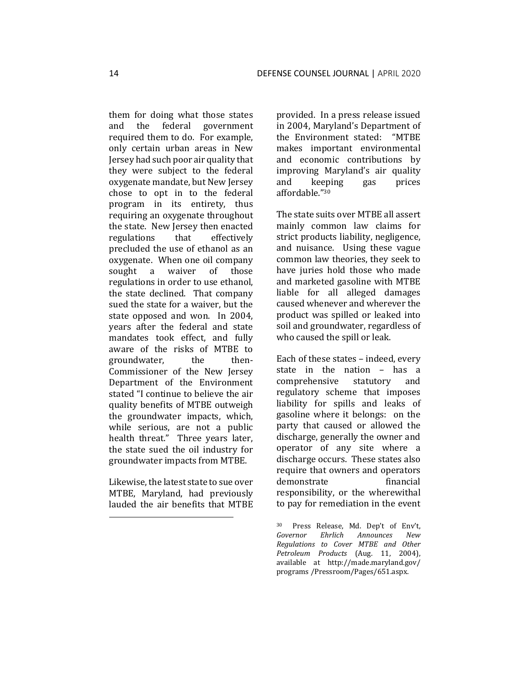them for doing what those states and the federal government required them to do. For example, only certain urban areas in New Jersey had such poor air quality that they were subject to the federal oxygenate mandate, but New Jersey chose to opt in to the federal program in its entirety, thus requiring an oxygenate throughout the state. New Jersey then enacted regulations that effectively precluded the use of ethanol as an oxygenate. When one oil company sought a waiver of those regulations in order to use ethanol, the state declined. That company sued the state for a waiver, but the state opposed and won. In 2004, years after the federal and state mandates took effect, and fully aware of the risks of MTBE to groundwater, the then-Commissioner of the New Jersey Department of the Environment stated "I continue to believe the air quality benefits of MTBE outweigh the groundwater impacts, which, while serious, are not a public health threat." Three years later, the state sued the oil industry for groundwater impacts from MTBE.

Likewise, the latest state to sue over MTBE, Maryland, had previously lauded the air benefits that MTBE

provided. In a press release issued in 2004, Maryland's Department of the Environment stated: "MTBE makes important environmental and economic contributions by improving Maryland's air quality and keeping gas prices affordable." 30

The state suits over MTBE all assert mainly common law claims for strict products liability, negligence, and nuisance. Using these vague common law theories, they seek to have juries hold those who made and marketed gasoline with MTBE liable for all alleged damages caused whenever and wherever the product was spilled or leaked into soil and groundwater, regardless of who caused the spill or leak.

Each of these states – indeed, every state in the nation – has a comprehensive statutory and regulatory scheme that imposes liability for spills and leaks of gasoline where it belongs: on the party that caused or allowed the discharge, generally the owner and operator of any site where a discharge occurs. These states also require that owners and operators demonstrate financial responsibility, or the wherewithal to pay for remediation in the event

<sup>30</sup> Press Release, Md. Dep't of Env't, *Governor Ehrlich Announces New Regulations to Cover MTBE and Other Petroleum Products* (Aug. 11, 2004), available at http://made.maryland.gov/ programs /Pressroom/Pages/651.aspx.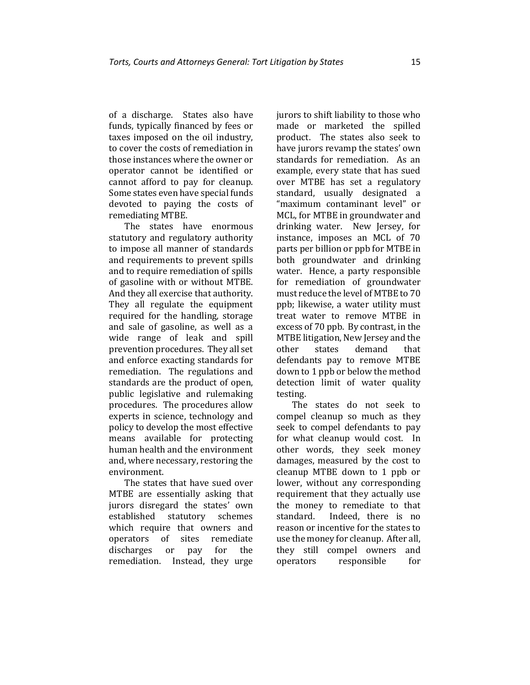of a discharge. States also have funds, typically financed by fees or taxes imposed on the oil industry, to cover the costs of remediation in those instances where the owner or operator cannot be identified or cannot afford to pay for cleanup. Some states even have special funds devoted to paying the costs of remediating MTBE.

The states have enormous statutory and regulatory authority to impose all manner of standards and requirements to prevent spills and to require remediation of spills of gasoline with or without MTBE. And they all exercise that authority. They all regulate the equipment required for the handling, storage and sale of gasoline, as well as a wide range of leak and spill prevention procedures. They all set and enforce exacting standards for remediation. The regulations and standards are the product of open, public legislative and rulemaking procedures. The procedures allow experts in science, technology and policy to develop the most effective means available for protecting human health and the environment and, where necessary, restoring the environment.

The states that have sued over MTBE are essentially asking that jurors disregard the states' own established statutory schemes which require that owners and operators of sites remediate discharges or pay for the remediation. Instead, they urge jurors to shift liability to those who made or marketed the spilled product. The states also seek to have jurors revamp the states' own standards for remediation. As an example, every state that has sued over MTBE has set a regulatory standard, usually designated a "maximum contaminant level" or MCL, for MTBE in groundwater and drinking water. New Jersey, for instance, imposes an MCL of 70 parts per billion or ppb for MTBE in both groundwater and drinking water. Hence, a party responsible for remediation of groundwater must reduce the level of MTBE to 70 ppb; likewise, a water utility must treat water to remove MTBE in excess of 70 ppb. By contrast, in the MTBE litigation, New Jersey and the other states demand that defendants pay to remove MTBE down to 1 ppb or below the method detection limit of water quality testing.

The states do not seek to compel cleanup so much as they seek to compel defendants to pay for what cleanup would cost. In other words, they seek money damages, measured by the cost to cleanup MTBE down to 1 ppb or lower, without any corresponding requirement that they actually use the money to remediate to that standard. Indeed, there is no reason or incentive for the states to use the money for cleanup. After all, they still compel owners and operators responsible for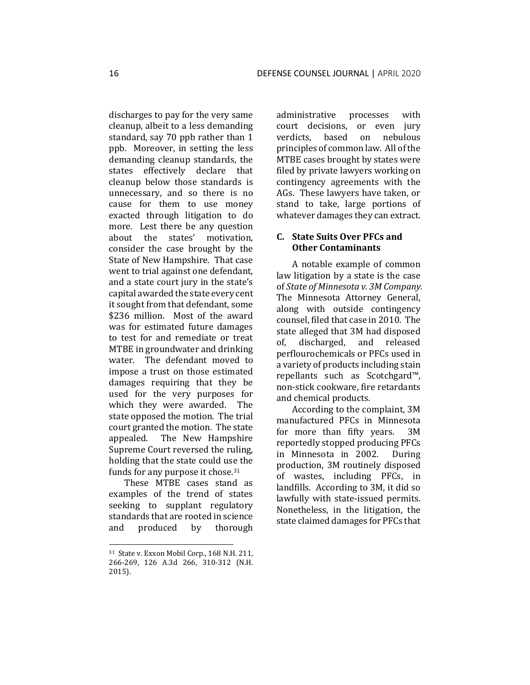discharges to pay for the very same cleanup, albeit to a less demanding standard, say 70 ppb rather than 1 ppb. Moreover, in setting the less demanding cleanup standards, the states effectively declare that cleanup below those standards is unnecessary, and so there is no cause for them to use money exacted through litigation to do more. Lest there be any question about the states' motivation, consider the case brought by the State of New Hampshire. That case went to trial against one defendant, and a state court jury in the state's capital awarded the state every cent it sought from that defendant, some \$236 million. Most of the award was for estimated future damages to test for and remediate or treat MTBE in groundwater and drinking water. The defendant moved to impose a trust on those estimated damages requiring that they be used for the very purposes for which they were awarded. The state opposed the motion. The trial court granted the motion. The state appealed. The New Hampshire Supreme Court reversed the ruling, holding that the state could use the funds for any purpose it chose.<sup>31</sup>

These MTBE cases stand as examples of the trend of states seeking to supplant regulatory standards that are rooted in science and produced by thorough

administrative processes with court decisions, or even jury verdicts, based on nebulous principles of common law. All of the MTBE cases brought by states were filed by private lawyers working on contingency agreements with the AGs. These lawyers have taken, or stand to take, large portions of whatever damages they can extract.

#### **C. State Suits Over PFCs and Other Contaminants**

A notable example of common law litigation by a state is the case of *State of Minnesota v. 3M Company.* The Minnesota Attorney General, along with outside contingency counsel, filed that case in 2010. The state alleged that 3M had disposed of, discharged, and released perflourochemicals or PFCs used in a variety of products including stain repellants such as Scotchgard™, non-stick cookware, fire retardants and chemical products.

According to the complaint, 3M manufactured PFCs in Minnesota for more than fifty years. 3M reportedly stopped producing PFCs in Minnesota in 2002. During production, 3M routinely disposed of wastes, including PFCs, in landfills. According to 3M, it did so lawfully with state-issued permits. Nonetheless, in the litigation, the state claimed damages for PFCs that

<sup>31</sup> State v. Exxon Mobil Corp*.*, 168 N.H. 211, 266-269, 126 A.3d 266, 310-312 (N.H. 2015).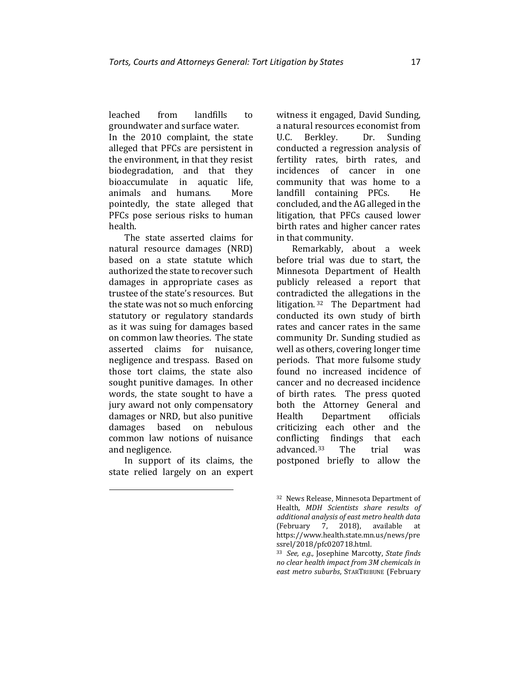leached from landfills to groundwater and surface water.

In the 2010 complaint, the state alleged that PFCs are persistent in the environment, in that they resist biodegradation, and that they bioaccumulate in aquatic life, animals and humans. More pointedly, the state alleged that PFCs pose serious risks to human health.

The state asserted claims for natural resource damages (NRD) based on a state statute which authorized the state to recover such damages in appropriate cases as trustee of the state's resources. But the state was not so much enforcing statutory or regulatory standards as it was suing for damages based on common law theories. The state asserted claims for nuisance, negligence and trespass. Based on those tort claims, the state also sought punitive damages. In other words, the state sought to have a jury award not only compensatory damages or NRD, but also punitive damages based on nebulous common law notions of nuisance and negligence.

In support of its claims, the state relied largely on an expert witness it engaged, David Sunding, a natural resources economist from U.C. Berkley. Dr. Sunding conducted a regression analysis of fertility rates, birth rates, and incidences of cancer in one community that was home to a landfill containing PFCs. He concluded, and the AG alleged in the litigation, that PFCs caused lower birth rates and higher cancer rates in that community.

Remarkably, about a week before trial was due to start, the Minnesota Department of Health publicly released a report that contradicted the allegations in the litigation. <sup>32</sup> The Department had conducted its own study of birth rates and cancer rates in the same community Dr. Sunding studied as well as others, covering longer time periods. That more fulsome study found no increased incidence of cancer and no decreased incidence of birth rates. The press quoted both the Attorney General and Health Department officials criticizing each other and the conflicting findings that each advanced. <sup>33</sup> The trial was postponed briefly to allow the

<sup>32</sup> News Release, Minnesota Department of Health, *MDH Scientists share results of additional analysis of east metro health data* (February 7, 2018), available at [https://www.health.state.mn.us/news/pre](https://www.health.state.mn.us/news/pressrel/2018/pfc020718.html) [ssrel/2018/pfc020718.html.](https://www.health.state.mn.us/news/pressrel/2018/pfc020718.html)

<sup>33</sup> *See, e.g.,* Josephine Marcotty, *State finds no clear health impact from 3M chemicals in east metro suburbs*, STARTRIBUNE (February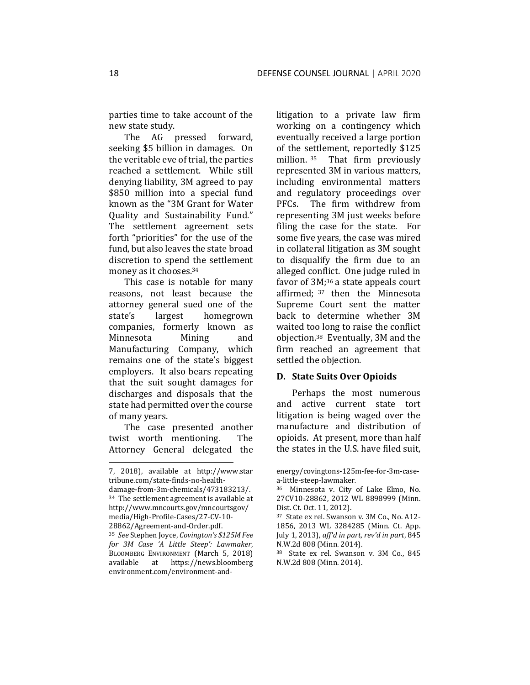parties time to take account of the new state study.

The AG pressed forward, seeking \$5 billion in damages. On the veritable eve of trial, the parties reached a settlement. While still denying liability, 3M agreed to pay \$850 million into a special fund known as the "3M Grant for Water Quality and Sustainability Fund." The settlement agreement sets forth "priorities" for the use of the fund, but also leaves the state broad discretion to spend the settlement money as it chooses.<sup>34</sup>

This case is notable for many reasons, not least because the attorney general sued one of the state's largest homegrown companies, formerly known as Minnesota Mining and Manufacturing Company, which remains one of the state's biggest employers. It also bears repeating that the suit sought damages for discharges and disposals that the state had permitted over the course of many years.

The case presented another twist worth mentioning. The Attorney General delegated the litigation to a private law firm working on a contingency which eventually received a large portion of the settlement, reportedly \$125 million. <sup>35</sup> That firm previously represented 3M in various matters, including environmental matters and regulatory proceedings over PFCs. The firm withdrew from representing 3M just weeks before filing the case for the state. For some five years, the case was mired in collateral litigation as 3M sought to disqualify the firm due to an alleged conflict. One judge ruled in favor of 3M;<sup>36</sup> a state appeals court affirmed; <sup>37</sup> then the Minnesota Supreme Court sent the matter back to determine whether 3M waited too long to raise the conflict objection.38 Eventually, 3M and the firm reached an agreement that settled the objection.

#### **D. State Suits Over Opioids**

Perhaps the most numerous and active current state tort litigation is being waged over the manufacture and distribution of opioids. At present, more than half the states in the U.S. have filed suit,

<sup>7, 2018),</sup> available at http://www.star [tribune.com/state-finds-no-health](http://www.startribune.com/state-finds-no-health-damage-from-3m-chemicals/473183213/)[damage-from-3m-chemicals/473183213/.](http://www.startribune.com/state-finds-no-health-damage-from-3m-chemicals/473183213/) <sup>34</sup> The settlement agreement is available at http://www.mncourts.gov/mncourtsgov/ media/High-Profile-Cases/27-CV-10-

<sup>28862/</sup>Agreement-and-Order.pdf.

<sup>35</sup> *See* Stephen Joyce, *Covington's \$125M Fee for 3M Case 'A Little Steep': Lawmaker*, BLOOMBERG ENVIRONMENT (March 5, 2018)<br>available at https://news.bloomberg available at [https://news.bloomberg](https://news.bloomberg/) environment.com/environment-and-

energy/covingtons-125m-fee-for-3m-casea-little-steep-lawmaker*.*

<sup>36</sup> Minnesota v. City of Lake Elmo, No. 27CV10-28862, 2012 WL 8898999 (Minn. Dist. Ct. Oct. 11, 2012).

<sup>37</sup> State ex rel. Swanson v. 3M Co*.,* No. A12- 1856, 2013 WL 3284285 (Minn. Ct. App. July 1, 2013), *aff'd in part, rev'd in part*, 845 N.W.2d 808 (Minn. 2014).

<sup>38</sup> State ex rel. Swanson v. 3M Co*.*, 845 N.W.2d 808 (Minn. 2014).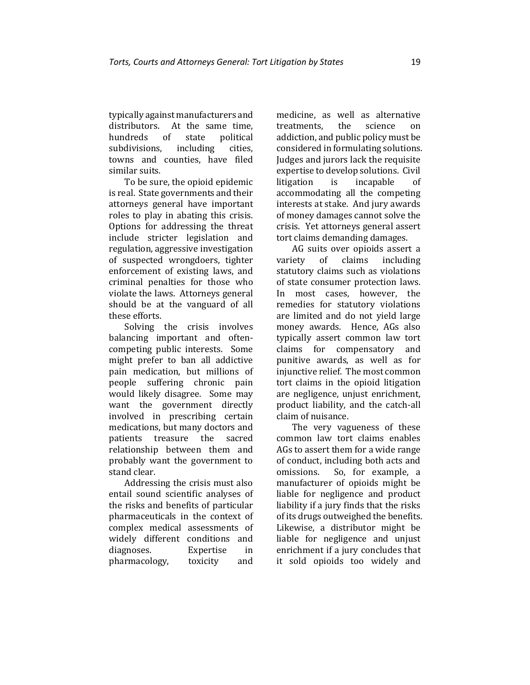typically against manufacturers and distributors. At the same time, hundreds of state political subdivisions, including cities, towns and counties, have filed similar suits.

To be sure, the opioid epidemic is real. State governments and their attorneys general have important roles to play in abating this crisis. Options for addressing the threat include stricter legislation and regulation, aggressive investigation of suspected wrongdoers, tighter enforcement of existing laws, and criminal penalties for those who violate the laws. Attorneys general should be at the vanguard of all these efforts.

Solving the crisis involves balancing important and oftencompeting public interests. Some might prefer to ban all addictive pain medication, but millions of people suffering chronic pain would likely disagree. Some may want the government directly involved in prescribing certain medications, but many doctors and patients treasure the sacred relationship between them and probably want the government to stand clear.

Addressing the crisis must also entail sound scientific analyses of the risks and benefits of particular pharmaceuticals in the context of complex medical assessments of widely different conditions and diagnoses. Expertise in pharmacology, toxicity and medicine, as well as alternative treatments, the science on addiction, and public policy must be considered in formulating solutions. Judges and jurors lack the requisite expertise to develop solutions. Civil litigation is incapable of accommodating all the competing interests at stake. And jury awards of money damages cannot solve the crisis. Yet attorneys general assert tort claims demanding damages.

AG suits over opioids assert a variety of claims including statutory claims such as violations of state consumer protection laws. In most cases, however, the remedies for statutory violations are limited and do not yield large money awards. Hence, AGs also typically assert common law tort claims for compensatory and punitive awards, as well as for injunctive relief. The most common tort claims in the opioid litigation are negligence, unjust enrichment, product liability, and the catch-all claim of nuisance.

The very vagueness of these common law tort claims enables AGs to assert them for a wide range of conduct, including both acts and omissions. So, for example, a manufacturer of opioids might be liable for negligence and product liability if a jury finds that the risks of its drugs outweighed the benefits. Likewise, a distributor might be liable for negligence and unjust enrichment if a jury concludes that it sold opioids too widely and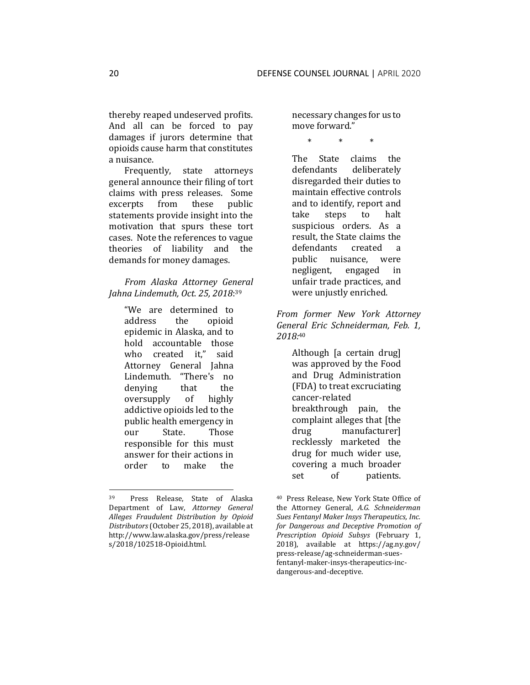thereby reaped undeserved profits. And all can be forced to pay damages if jurors determine that opioids cause harm that constitutes a nuisance.

Frequently, state attorneys general announce their filing of tort claims with press releases. Some excerpts from these public statements provide insight into the motivation that spurs these tort cases. Note the references to vague theories of liability and the demands for money damages.

*From Alaska Attorney General Jahna Lindemuth, Oct. 25, 2018*: 39

> "We are determined to address the opioid epidemic in Alaska, and to hold accountable those who created it," said Attorney General Jahna Lindemuth. "There's no denying that the oversupply of highly addictive opioids led to the public health emergency in our State. Those responsible for this must answer for their actions in order to make the

necessary changes for us to move forward."

\* \* \*

The State claims the defendants deliberately disregarded their duties to maintain effective controls and to identify, report and take steps to halt suspicious orders. As a result, the State claims the defendants created a public nuisance, were negligent, engaged in unfair trade practices, and were unjustly enriched.

*From former New York Attorney General Eric Schneiderman, Feb. 1, 2018:*<sup>40</sup>

> Although [a certain drug] was approved by the Food and Drug Administration (FDA) to treat excruciating cancer-related breakthrough pain, the complaint alleges that [the drug manufacturer] recklessly marketed the drug for much wider use, covering a much broader set of patients.

<sup>39</sup> Press Release, State of Alaska Department of Law, *Attorney General Alleges Fraudulent Distribution by Opioid Distributors*(October 25, 2018), available at [http://www.law.alaska.gov/press/release](http://www.law.alaska.gov/press/releases/2018/102518-Opioid.html) [s/2018/102518-Opioid.html.](http://www.law.alaska.gov/press/releases/2018/102518-Opioid.html)

<sup>40</sup> Press Release, New York State Office of the Attorney General, *A.G. Schneiderman Sues Fentanyl Maker Insys Therapeutics, Inc. for Dangerous and Deceptive Promotion of Prescription Opioid Subsys* (February 1, 2018), available at https://ag.ny.gov/ [press-release/ag-schneiderman-sues](https://ag.ny.gov/press-release/ag-schneiderman-sues-fentanyl-maker-insys-therapeutics-inc-dangerous-and-deceptive)[fentanyl-maker-insys-therapeutics-inc](https://ag.ny.gov/press-release/ag-schneiderman-sues-fentanyl-maker-insys-therapeutics-inc-dangerous-and-deceptive)[dangerous-and-deceptive.](https://ag.ny.gov/press-release/ag-schneiderman-sues-fentanyl-maker-insys-therapeutics-inc-dangerous-and-deceptive)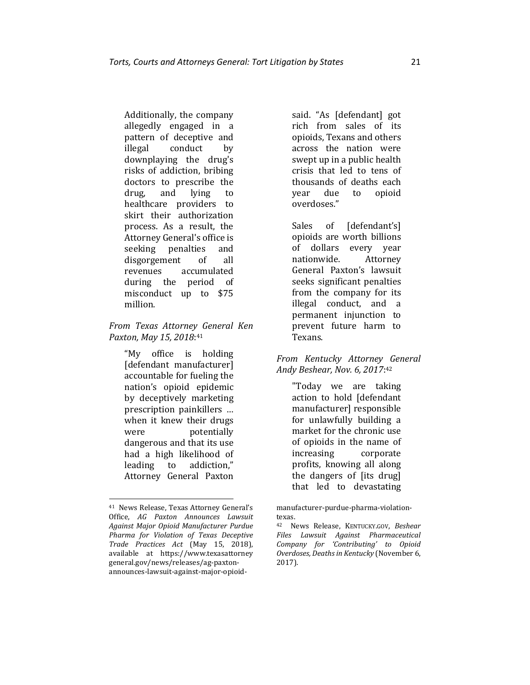Additionally, the company allegedly engaged in a pattern of deceptive and illegal conduct by downplaying the drug's risks of addiction, bribing doctors to prescribe the drug, and lying to healthcare providers to skirt their authorization process. As a result, the Attorney General's office is seeking penalties and disgorgement of all revenues accumulated during the period of misconduct up to \$75 million.

*From Texas Attorney General Ken Paxton, May 15, 2018*: 41

> "My office is holding [defendant manufacturer] accountable for fueling the nation's opioid epidemic by deceptively marketing prescription painkillers … when it knew their drugs were potentially dangerous and that its use had a high likelihood of leading to addiction," Attorney General Paxton

said. "As [defendant] got rich from sales of its opioids, Texans and others across the nation were swept up in a public health crisis that led to tens of thousands of deaths each year due to opioid overdoses."

Sales of [defendant's] opioids are worth billions of dollars every year nationwide. Attorney General Paxton's lawsuit seeks significant penalties from the company for its illegal conduct, and a permanent injunction to prevent future harm to Texans.

*From Kentucky Attorney General Andy Beshear, Nov. 6, 2017*: 42

> "Today we are taking action to hold [defendant manufacturer] responsible for unlawfully building a market for the chronic use of opioids in the name of increasing corporate profits, knowing all along the dangers of [its drug] that led to devastating

<sup>41</sup> News Release, Texas Attorney General's Office, *AG Paxton Announces Lawsuit Against Major Opioid Manufacturer Purdue Pharma for Violation of Texas Deceptive Trade Practices Act* (May 15, 2018), available at https://www.texasattorney [general.gov/news/releases/ag-paxton](https://www.texasattorneygeneral.gov/news/releases/ag-paxton-announces-lawsuit-against-major-opioid-manufacturer-purdue-pharma-violation-texas)[announces-lawsuit-against-major-opioid-](https://www.texasattorneygeneral.gov/news/releases/ag-paxton-announces-lawsuit-against-major-opioid-manufacturer-purdue-pharma-violation-texas)

[manufacturer-purdue-pharma-violation](https://www.texasattorneygeneral.gov/news/releases/ag-paxton-announces-lawsuit-against-major-opioid-manufacturer-purdue-pharma-violation-texas)[texas.](https://www.texasattorneygeneral.gov/news/releases/ag-paxton-announces-lawsuit-against-major-opioid-manufacturer-purdue-pharma-violation-texas)

<sup>42</sup> News Release, KENTUCKY.GOV, *Beshear Files Lawsuit Against Pharmaceutical Company for 'Contributing' to Opioid Overdoses, Deaths in Kentucky* (November 6, 2017).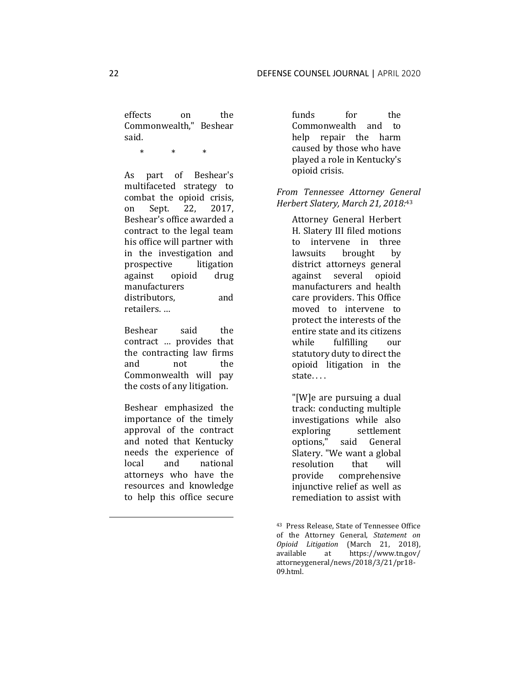effects on the Commonwealth," Beshear said.

\* \* \*

As part of Beshear's multifaceted strategy to combat the opioid crisis, on Sept. 22, 2017, Beshear's office awarded a contract to the legal team his office will partner with in the investigation and prospective litigation against opioid drug manufacturers distributors, and retailers. …

Beshear said the contract … provides that the contracting law firms and not the Commonwealth will pay the costs of any litigation.

Beshear emphasized the importance of the timely approval of the contract and noted that Kentucky needs the experience of local and national attorneys who have the resources and knowledge to help this office secure funds for the Commonwealth and to help repair the harm caused by those who have played a role in Kentucky's opioid crisis.

*From Tennessee Attorney General Herbert Slatery, March 21, 2018:*<sup>43</sup>

> Attorney General Herbert H. Slatery III filed motions to intervene in three lawsuits brought by district attorneys general against several opioid manufacturers and health care providers. This Office moved to intervene to protect the interests of the entire state and its citizens while fulfilling our statutory duty to direct the opioid litigation in the state. . . .

"[W]e are pursuing a dual track: conducting multiple investigations while also exploring settlement options," said General Slatery. "We want a global resolution that will provide comprehensive injunctive relief as well as remediation to assist with

<sup>43</sup> Press Release, State of Tennessee Office of the Attorney General, *Statement on Opioid Litigation* (March 21, 2018), available at https://www.tn.gov/ [attorneygeneral/news/2018/3/21/pr18-](https://www.tn.gov/attorneygeneral/news/2018/3/21/pr18-09.html) [09.html.](https://www.tn.gov/attorneygeneral/news/2018/3/21/pr18-09.html)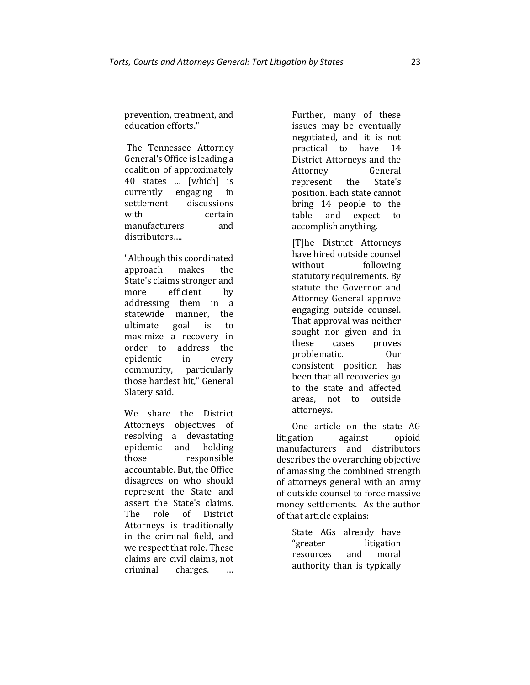prevention, treatment, and education efforts."

The Tennessee Attorney General's Office is leading a coalition of approximately 40 states … [which] is currently engaging in settlement discussions with certain manufacturers and distributors….

"Although this coordinated approach makes the State's claims stronger and more efficient by addressing them in a statewide manner, the ultimate goal is to maximize a recovery in order to address the epidemic in every community, particularly those hardest hit," General Slatery said.

We share the District Attorneys objectives of resolving a devastating epidemic and holding those responsible accountable. But, the Office disagrees on who should represent the State and assert the State's claims. The role of District Attorneys is traditionally in the criminal field, and we respect that role. These claims are civil claims, not criminal charges. …

Further, many of these issues may be eventually negotiated, and it is not<br>practical to have 14 practical to have 14 District Attorneys and the Attorney General represent the State's position. Each state cannot bring 14 people to the table and expect to accomplish anything.

[T]he District Attorneys have hired outside counsel without following statutory requirements. By statute the Governor and Attorney General approve engaging outside counsel. That approval was neither sought nor given and in these cases proves problematic. Our consistent position has been that all recoveries go to the state and affected areas, not to outside attorneys.

One article on the state AG litigation against opioid manufacturers and distributors describes the overarching objective of amassing the combined strength of attorneys general with an army of outside counsel to force massive money settlements. As the author of that article explains:

> State AGs already have "greater litigation resources and moral authority than is typically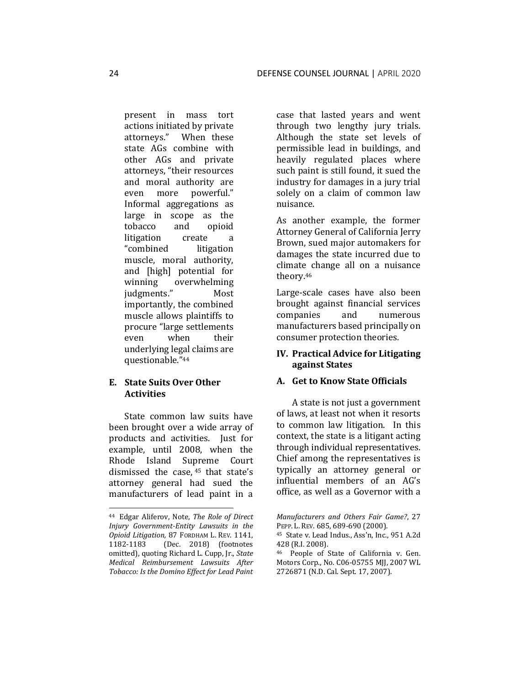present in mass tort actions initiated by private attorneys." When these state AGs combine with other AGs and private attorneys, "their resources and moral authority are even more powerful." Informal aggregations as large in scope as the tobacco and opioid litigation create a "combined litigation muscle, moral authority, and [high] potential for winning overwhelming judgments." Most importantly, the combined muscle allows plaintiffs to procure "large settlements even when their underlying legal claims are questionable."<sup>44</sup>

# **E. State Suits Over Other Activities**

State common law suits have been brought over a wide array of products and activities. Just for example, until 2008, when the Rhode Island Supreme Court dismissed the case, <sup>45</sup> that state's attorney general had sued the manufacturers of lead paint in a

case that lasted years and went through two lengthy jury trials. Although the state set levels of permissible lead in buildings, and heavily regulated places where such paint is still found, it sued the industry for damages in a jury trial solely on a claim of common law nuisance.

As another example, the former Attorney General of California Jerry Brown, sued major automakers for damages the state incurred due to climate change all on a nuisance theory.<sup>46</sup>

Large-scale cases have also been brought against financial services companies and numerous manufacturers based principally on consumer protection theories.

#### **IV. Practical Advice for Litigating against States**

#### **A. Get to Know State Officials**

A state is not just a government of laws, at least not when it resorts to common law litigation. In this context, the state is a litigant acting through individual representatives. Chief among the representatives is typically an attorney general or influential members of an AG's office, as well as a Governor with a

<sup>44</sup> Edgar Aliferov, Note, *The Role of Direct Injury Government-Entity Lawsuits in the Opioid Litigation,* 87 FORDHAM L. REV. 1141, 1182-1183 (Dec. 2018) (footnotes omitted), quoting Richard L. Cupp, Jr., *State Medical Reimbursement Lawsuits After Tobacco: Is the Domino Effect for Lead Paint* 

*Manufacturers and Others Fair Game?*, 27 PEPP. L. REV. 685, 689-690 (2000).

<sup>45</sup> State v. Lead Indus., Ass'n, Inc., 951 A.2d 428 (R.I. 2008).

<sup>46</sup> People of State of California v. Gen. Motors Corp., No. C06-05755 MJJ, 2007 WL 2726871 (N.D. Cal. Sept. 17, 2007).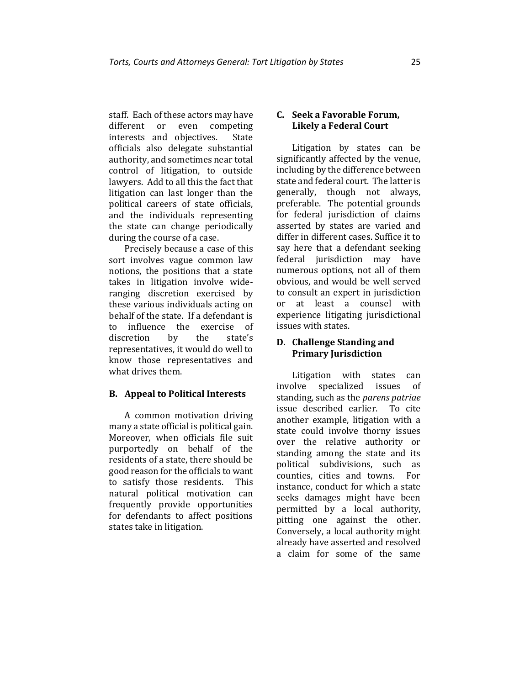staff. Each of these actors may have different or even competing interests and objectives. State officials also delegate substantial authority, and sometimes near total control of litigation, to outside lawyers. Add to all this the fact that litigation can last longer than the political careers of state officials, and the individuals representing the state can change periodically during the course of a case.

Precisely because a case of this sort involves vague common law notions, the positions that a state takes in litigation involve wideranging discretion exercised by these various individuals acting on behalf of the state. If a defendant is to influence the exercise of discretion by the state's representatives, it would do well to know those representatives and what drives them.

#### **B. Appeal to Political Interests**

A common motivation driving many a state official is political gain. Moreover, when officials file suit purportedly on behalf of the residents of a state, there should be good reason for the officials to want to satisfy those residents. This natural political motivation can frequently provide opportunities for defendants to affect positions states take in litigation.

# **C. Seek a Favorable Forum, Likely a Federal Court**

Litigation by states can be significantly affected by the venue, including by the difference between state and federal court. The latter is generally, though not always, preferable. The potential grounds for federal jurisdiction of claims asserted by states are varied and differ in different cases. Suffice it to say here that a defendant seeking federal jurisdiction may have numerous options, not all of them obvious, and would be well served to consult an expert in jurisdiction or at least a counsel with experience litigating jurisdictional issues with states.

## **D. Challenge Standing and Primary Jurisdiction**

Litigation with states can involve specialized issues of standing, such as the *parens patriae* issue described earlier. To cite another example, litigation with a state could involve thorny issues over the relative authority or standing among the state and its political subdivisions, such as counties, cities and towns. For instance, conduct for which a state seeks damages might have been permitted by a local authority, pitting one against the other. Conversely, a local authority might already have asserted and resolved a claim for some of the same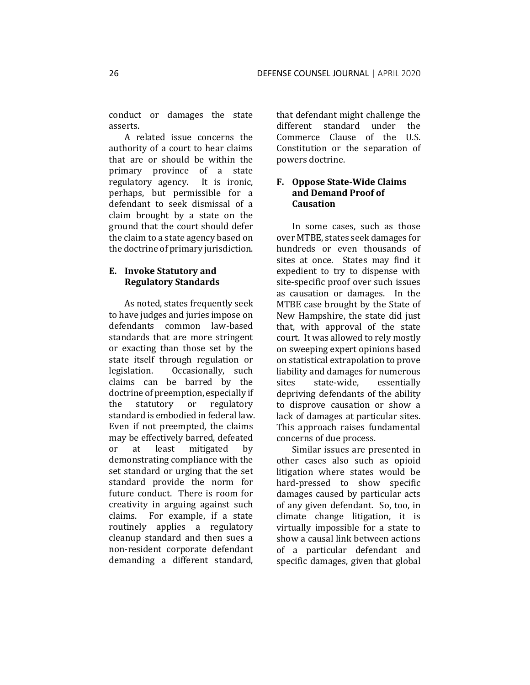conduct or damages the state asserts.

A related issue concerns the authority of a court to hear claims that are or should be within the primary province of a state regulatory agency. It is ironic, perhaps, but permissible for a defendant to seek dismissal of a claim brought by a state on the ground that the court should defer the claim to a state agency based on the doctrine of primary jurisdiction.

#### **E. Invoke Statutory and Regulatory Standards**

As noted, states frequently seek to have judges and juries impose on defendants common law-based standards that are more stringent or exacting than those set by the state itself through regulation or legislation. Occasionally, such claims can be barred by the doctrine of preemption, especially if the statutory or regulatory standard is embodied in federal law. Even if not preempted, the claims may be effectively barred, defeated or at least mitigated by demonstrating compliance with the set standard or urging that the set standard provide the norm for future conduct. There is room for creativity in arguing against such claims. For example, if a state routinely applies a regulatory cleanup standard and then sues a non-resident corporate defendant demanding a different standard,

that defendant might challenge the different standard under the Commerce Clause of the U.S. Constitution or the separation of powers doctrine.

# **F. Oppose State-Wide Claims and Demand Proof of Causation**

In some cases, such as those over MTBE, states seek damages for hundreds or even thousands of sites at once. States may find it expedient to try to dispense with site-specific proof over such issues as causation or damages. In the MTBE case brought by the State of New Hampshire, the state did just that, with approval of the state court. It was allowed to rely mostly on sweeping expert opinions based on statistical extrapolation to prove liability and damages for numerous sites state-wide, essentially depriving defendants of the ability to disprove causation or show a lack of damages at particular sites. This approach raises fundamental concerns of due process.

Similar issues are presented in other cases also such as opioid litigation where states would be hard-pressed to show specific damages caused by particular acts of any given defendant. So, too, in climate change litigation, it is virtually impossible for a state to show a causal link between actions of a particular defendant and specific damages, given that global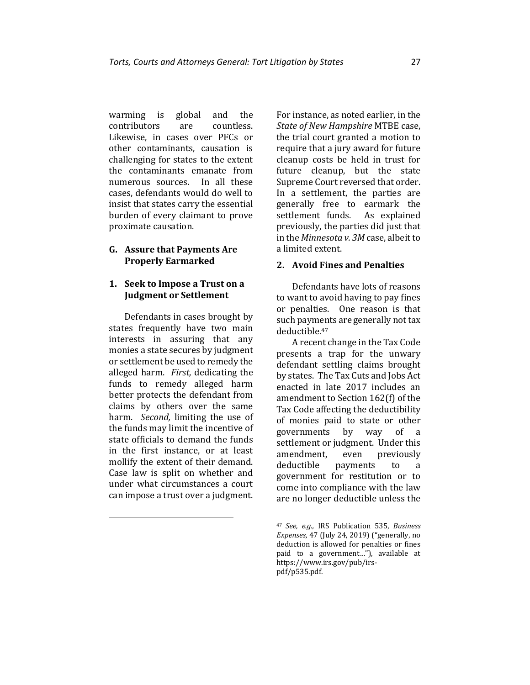warming is global and the contributors are countless. Likewise, in cases over PFCs or other contaminants, causation is challenging for states to the extent the contaminants emanate from numerous sources. In all these cases, defendants would do well to insist that states carry the essential burden of every claimant to prove proximate causation.

#### **G. Assure that Payments Are Properly Earmarked**

#### **1. Seek to Impose a Trust on a Judgment or Settlement**

Defendants in cases brought by states frequently have two main interests in assuring that any monies a state secures by judgment or settlement be used to remedy the alleged harm. *First,* dedicating the funds to remedy alleged harm better protects the defendant from claims by others over the same harm. *Second,* limiting the use of the funds may limit the incentive of state officials to demand the funds in the first instance, or at least mollify the extent of their demand. Case law is split on whether and under what circumstances a court can impose a trust over a judgment.

For instance, as noted earlier, in the *State of New Hampshire* MTBE case, the trial court granted a motion to require that a jury award for future cleanup costs be held in trust for future cleanup, but the state Supreme Court reversed that order. In a settlement, the parties are generally free to earmark the settlement funds. As explained previously, the parties did just that in the *Minnesota v. 3M* case, albeit to a limited extent.

## **2. Avoid Fines and Penalties**

Defendants have lots of reasons to want to avoid having to pay fines or penalties. One reason is that such payments are generally not tax deductible.<sup>47</sup>

A recent change in the Tax Code presents a trap for the unwary defendant settling claims brought by states. The Tax Cuts and Jobs Act enacted in late 2017 includes an amendment to Section 162(f) of the Tax Code affecting the deductibility of monies paid to state or other governments by way of a settlement or judgment. Under this amendment, even previously deductible payments to a government for restitution or to come into compliance with the law are no longer deductible unless the

<sup>47</sup> *See, e.g.,* IRS Publication 535, *Business Expenses,* 47 (July 24, 2019) ("generally, no deduction is allowed for penalties or fines paid to a government…"), available at https://www.irs.gov/pub/irspdf/p535.pdf.